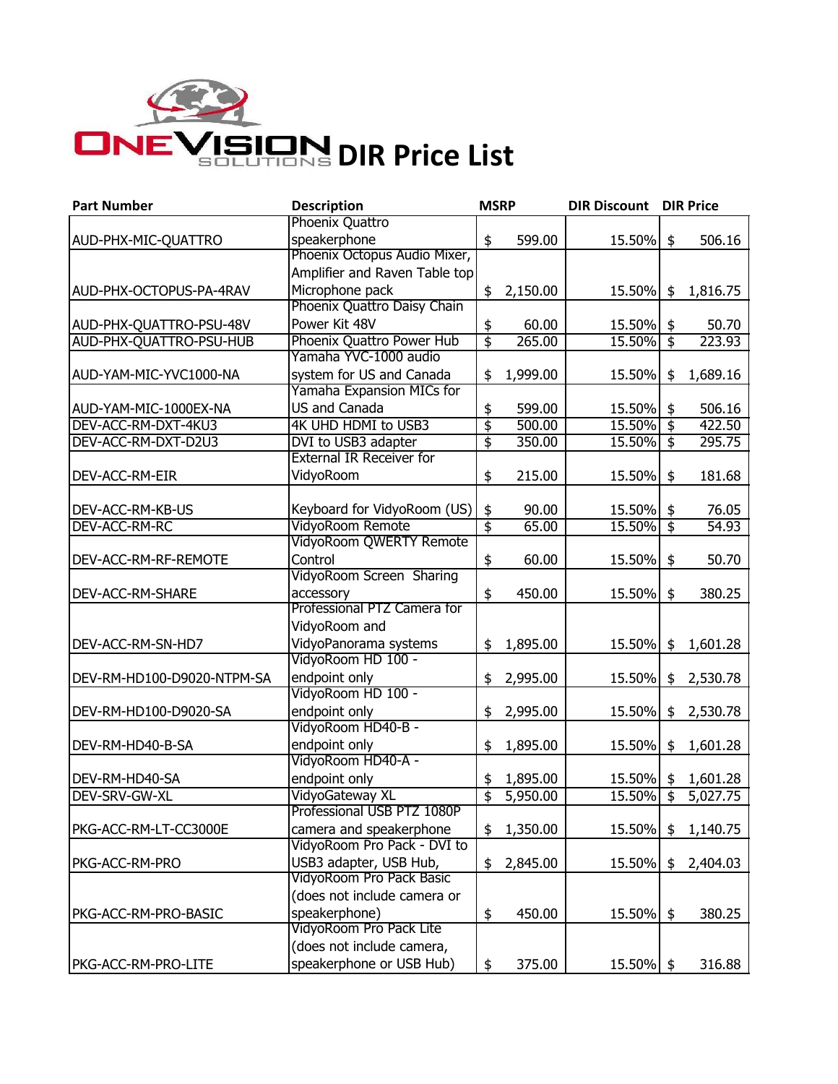

| <b>Part Number</b>         | <b>Description</b>              | <b>MSRP</b>                          |          | <b>DIR Discount</b> |                           | <b>DIR Price</b> |
|----------------------------|---------------------------------|--------------------------------------|----------|---------------------|---------------------------|------------------|
|                            | Phoenix Quattro                 |                                      |          |                     |                           |                  |
| AUD-PHX-MIC-QUATTRO        | speakerphone                    | \$                                   | 599.00   | 15.50%              | \$                        | 506.16           |
|                            | Phoenix Octopus Audio Mixer,    |                                      |          |                     |                           |                  |
|                            | Amplifier and Raven Table top   |                                      |          |                     |                           |                  |
| AUD-PHX-OCTOPUS-PA-4RAV    | Microphone pack                 | \$                                   | 2,150.00 | 15.50%              | $\frac{1}{2}$             | 1,816.75         |
|                            | Phoenix Quattro Daisy Chain     |                                      |          |                     |                           |                  |
| AUD-PHX-QUATTRO-PSU-48V    | Power Kit 48V                   | \$                                   | 60.00    | 15.50%              | \$                        | 50.70            |
| AUD-PHX-QUATTRO-PSU-HUB    | Phoenix Quattro Power Hub       | $\overline{\mathfrak{s}}$            | 265.00   | 15.50%              | $\frac{1}{2}$             | 223.93           |
|                            | Yamaha YVC-1000 audio           |                                      |          |                     |                           |                  |
| AUD-YAM-MIC-YVC1000-NA     | system for US and Canada        | \$                                   | 1,999.00 | 15.50%              | \$                        | 1,689.16         |
|                            | Yamaha Expansion MICs for       |                                      |          |                     |                           |                  |
| AUD-YAM-MIC-1000EX-NA      | US and Canada                   | \$                                   | 599.00   | 15.50%              | \$                        | 506.16           |
| DEV-ACC-RM-DXT-4KU3        | 4K UHD HDMI to USB3             | $\overline{\boldsymbol{\mathsf{s}}}$ | 500.00   | $15.50\%$ \$        |                           | 422.50           |
| DEV-ACC-RM-DXT-D2U3        | DVI to USB3 adapter             | $\overline{\mathfrak{s}}$            | 350.00   | $15.50\%$ \$        |                           | 295.75           |
|                            | <b>External IR Receiver for</b> |                                      |          |                     |                           |                  |
| DEV-ACC-RM-EIR             | VidyoRoom                       | \$                                   | 215.00   | 15.50%              | \$                        | 181.68           |
|                            |                                 |                                      |          |                     |                           |                  |
| DEV-ACC-RM-KB-US           | Keyboard for VidyoRoom (US)     | \$                                   | 90.00    | 15.50%              | \$                        | 76.05            |
| DEV-ACC-RM-RC              | VidyoRoom Remote                | $\overline{\mathfrak{s}}$            | 65.00    | 15.50%              | $\overline{\mathfrak{s}}$ | 54.93            |
|                            | VidyoRoom QWERTY Remote         |                                      |          |                     |                           |                  |
| DEV-ACC-RM-RF-REMOTE       | Control                         | \$                                   | 60.00    | 15.50%              | \$                        | 50.70            |
|                            | VidyoRoom Screen Sharing        |                                      |          |                     |                           |                  |
| DEV-ACC-RM-SHARE           | accessory                       | \$                                   | 450.00   | 15.50%              | \$                        | 380.25           |
|                            | Professional PTZ Camera for     |                                      |          |                     |                           |                  |
|                            | VidyoRoom and                   |                                      |          |                     |                           |                  |
| DEV-ACC-RM-SN-HD7          | VidyoPanorama systems           | \$                                   | 1,895.00 | 15.50%              | \$                        | 1,601.28         |
|                            | VidyoRoom HD 100 -              |                                      |          |                     |                           |                  |
| DEV-RM-HD100-D9020-NTPM-SA | endpoint only                   | \$                                   | 2,995.00 | 15.50%              | \$                        | 2,530.78         |
|                            | VidyoRoom HD 100 -              |                                      |          |                     |                           |                  |
| DEV-RM-HD100-D9020-SA      | endpoint only                   | \$                                   | 2,995.00 | 15.50%              | \$                        | 2,530.78         |
|                            | VidyoRoom HD40-B -              |                                      |          |                     |                           |                  |
| DEV-RM-HD40-B-SA           | endpoint only                   | \$                                   | 1,895.00 | 15.50%              | \$                        | 1,601.28         |
|                            | VidyoRoom HD40-A -              |                                      |          |                     |                           |                  |
| DEV-RM-HD40-SA             | endpoint only                   | \$                                   | 1,895.00 | $15.50\%$ \$        |                           | 1,601.28         |
| DEV-SRV-GW-XL              | VidyoGateway XL                 | $\overline{\mathfrak{s}}$            | 5,950.00 | 15.50%              | $\overline{\mathsf{S}}$   | 5,027.75         |
|                            | Professional USB PTZ 1080P      |                                      |          |                     |                           |                  |
| PKG-ACC-RM-LT-CC3000E      | camera and speakerphone         | \$                                   | 1,350.00 | 15.50%              | \$                        | 1,140.75         |
|                            | VidyoRoom Pro Pack - DVI to     |                                      |          |                     |                           |                  |
| PKG-ACC-RM-PRO             | USB3 adapter, USB Hub,          | \$                                   | 2,845.00 | 15.50%              | \$                        | 2,404.03         |
|                            | VidyoRoom Pro Pack Basic        |                                      |          |                     |                           |                  |
|                            | (does not include camera or     |                                      |          |                     |                           |                  |
| PKG-ACC-RM-PRO-BASIC       | speakerphone)                   | \$                                   | 450.00   | 15.50%              | \$                        | 380.25           |
|                            | VidyoRoom Pro Pack Lite         |                                      |          |                     |                           |                  |
|                            | (does not include camera,       |                                      |          |                     |                           |                  |
| PKG-ACC-RM-PRO-LITE        | speakerphone or USB Hub)        | \$                                   | 375.00   | 15.50% \$           |                           | 316.88           |